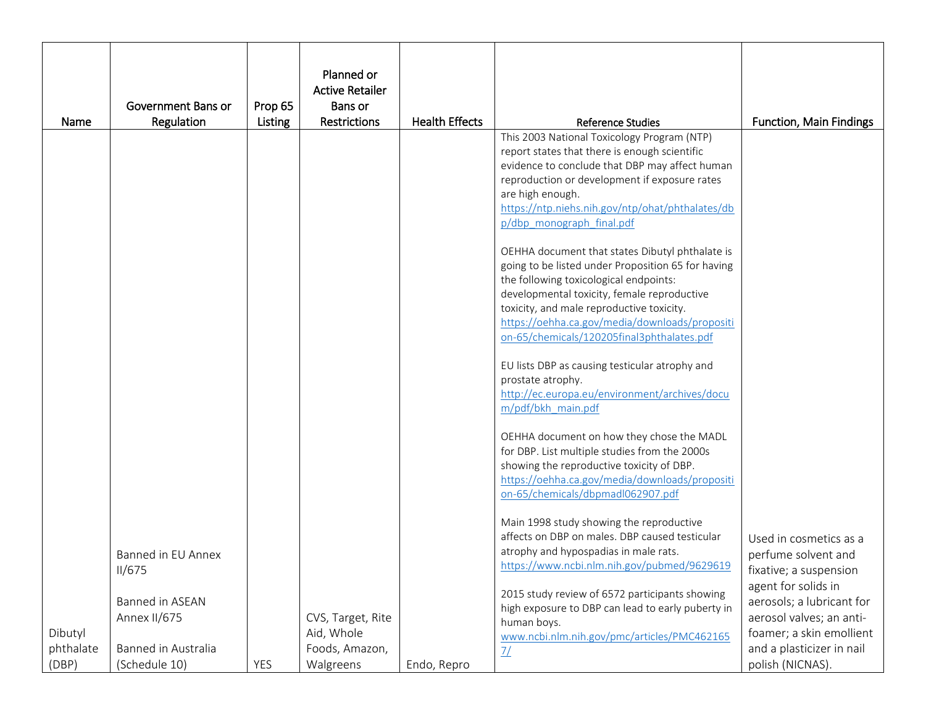|                      |                                                        |            | Planned or                                        |                       |                                                                                                                                                                                                                                                                                                                                             |                                                                                                                |
|----------------------|--------------------------------------------------------|------------|---------------------------------------------------|-----------------------|---------------------------------------------------------------------------------------------------------------------------------------------------------------------------------------------------------------------------------------------------------------------------------------------------------------------------------------------|----------------------------------------------------------------------------------------------------------------|
|                      |                                                        |            | <b>Active Retailer</b>                            |                       |                                                                                                                                                                                                                                                                                                                                             |                                                                                                                |
|                      | Government Bans or                                     | Prop 65    | Bans or                                           |                       |                                                                                                                                                                                                                                                                                                                                             |                                                                                                                |
| Name                 | Regulation                                             | Listing    | Restrictions                                      | <b>Health Effects</b> | <b>Reference Studies</b>                                                                                                                                                                                                                                                                                                                    | <b>Function, Main Findings</b>                                                                                 |
|                      |                                                        |            |                                                   |                       | This 2003 National Toxicology Program (NTP)<br>report states that there is enough scientific<br>evidence to conclude that DBP may affect human<br>reproduction or development if exposure rates<br>are high enough.<br>https://ntp.niehs.nih.gov/ntp/ohat/phthalates/db<br>p/dbp monograph final.pdf                                        |                                                                                                                |
|                      |                                                        |            |                                                   |                       | OEHHA document that states Dibutyl phthalate is<br>going to be listed under Proposition 65 for having<br>the following toxicological endpoints:<br>developmental toxicity, female reproductive<br>toxicity, and male reproductive toxicity.<br>https://oehha.ca.gov/media/downloads/propositi<br>on-65/chemicals/120205final3phthalates.pdf |                                                                                                                |
|                      |                                                        |            |                                                   |                       | EU lists DBP as causing testicular atrophy and<br>prostate atrophy.<br>http://ec.europa.eu/environment/archives/docu<br>m/pdf/bkh main.pdf                                                                                                                                                                                                  |                                                                                                                |
|                      |                                                        |            |                                                   |                       | OEHHA document on how they chose the MADL<br>for DBP. List multiple studies from the 2000s<br>showing the reproductive toxicity of DBP.<br>https://oehha.ca.gov/media/downloads/propositi<br>on-65/chemicals/dbpmadl062907.pdf                                                                                                              |                                                                                                                |
|                      | Banned in EU Annex<br>II/675                           |            |                                                   |                       | Main 1998 study showing the reproductive<br>affects on DBP on males. DBP caused testicular<br>atrophy and hypospadias in male rats.<br>https://www.ncbi.nlm.nih.gov/pubmed/9629619                                                                                                                                                          | Used in cosmetics as a<br>perfume solvent and<br>fixative; a suspension<br>agent for solids in                 |
| Dibutyl<br>phthalate | Banned in ASEAN<br>Annex II/675<br>Banned in Australia |            | CVS, Target, Rite<br>Aid, Whole<br>Foods, Amazon, |                       | 2015 study review of 6572 participants showing<br>high exposure to DBP can lead to early puberty in<br>human boys.<br>www.ncbi.nlm.nih.gov/pmc/articles/PMC462165<br>7/                                                                                                                                                                     | aerosols; a lubricant for<br>aerosol valves; an anti-<br>foamer; a skin emollient<br>and a plasticizer in nail |
| (DBP)                | (Schedule 10)                                          | <b>YES</b> | Walgreens                                         | Endo, Repro           |                                                                                                                                                                                                                                                                                                                                             | polish (NICNAS).                                                                                               |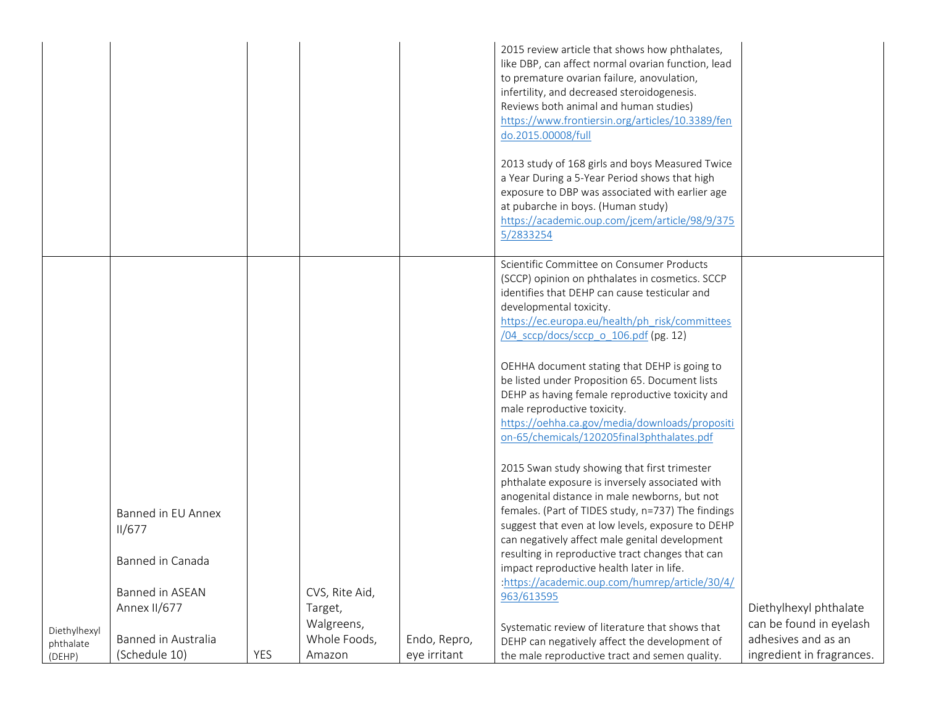|              |                              |     |                |              | 2015 review article that shows how phthalates,<br>like DBP, can affect normal ovarian function, lead<br>to premature ovarian failure, anovulation,<br>infertility, and decreased steroidogenesis.<br>Reviews both animal and human studies)<br>https://www.frontiersin.org/articles/10.3389/fen<br>do.2015.00008/full<br>2013 study of 168 girls and boys Measured Twice<br>a Year During a 5-Year Period shows that high<br>exposure to DBP was associated with earlier age<br>at pubarche in boys. (Human study)<br>https://academic.oup.com/jcem/article/98/9/375<br>5/2833254 |                           |
|--------------|------------------------------|-----|----------------|--------------|-----------------------------------------------------------------------------------------------------------------------------------------------------------------------------------------------------------------------------------------------------------------------------------------------------------------------------------------------------------------------------------------------------------------------------------------------------------------------------------------------------------------------------------------------------------------------------------|---------------------------|
|              |                              |     |                |              | Scientific Committee on Consumer Products<br>(SCCP) opinion on phthalates in cosmetics. SCCP<br>identifies that DEHP can cause testicular and<br>developmental toxicity.<br>https://ec.europa.eu/health/ph risk/committees<br>/04 sccp/docs/sccp o 106.pdf (pg. 12)                                                                                                                                                                                                                                                                                                               |                           |
|              |                              |     |                |              | OEHHA document stating that DEHP is going to<br>be listed under Proposition 65. Document lists<br>DEHP as having female reproductive toxicity and<br>male reproductive toxicity.<br>https://oehha.ca.gov/media/downloads/propositi<br>on-65/chemicals/120205final3phthalates.pdf                                                                                                                                                                                                                                                                                                  |                           |
|              | Banned in EU Annex<br>II/677 |     |                |              | 2015 Swan study showing that first trimester<br>phthalate exposure is inversely associated with<br>anogenital distance in male newborns, but not<br>females. (Part of TIDES study, n=737) The findings<br>suggest that even at low levels, exposure to DEHP<br>can negatively affect male genital development                                                                                                                                                                                                                                                                     |                           |
|              | Banned in Canada             |     |                |              | resulting in reproductive tract changes that can<br>impact reproductive health later in life.<br>:https://academic.oup.com/humrep/article/30/4/                                                                                                                                                                                                                                                                                                                                                                                                                                   |                           |
|              | <b>Banned in ASEAN</b>       |     | CVS, Rite Aid, |              | 963/613595                                                                                                                                                                                                                                                                                                                                                                                                                                                                                                                                                                        |                           |
|              | Annex II/677                 |     | Target,        |              |                                                                                                                                                                                                                                                                                                                                                                                                                                                                                                                                                                                   | Diethylhexyl phthalate    |
| Diethylhexyl |                              |     | Walgreens,     |              | Systematic review of literature that shows that                                                                                                                                                                                                                                                                                                                                                                                                                                                                                                                                   | can be found in eyelash   |
| phthalate    | Banned in Australia          |     | Whole Foods,   | Endo, Repro, | DEHP can negatively affect the development of                                                                                                                                                                                                                                                                                                                                                                                                                                                                                                                                     | adhesives and as an       |
| (DEHP)       | (Schedule 10)                | YES | Amazon         | eye irritant | the male reproductive tract and semen quality.                                                                                                                                                                                                                                                                                                                                                                                                                                                                                                                                    | ingredient in fragrances. |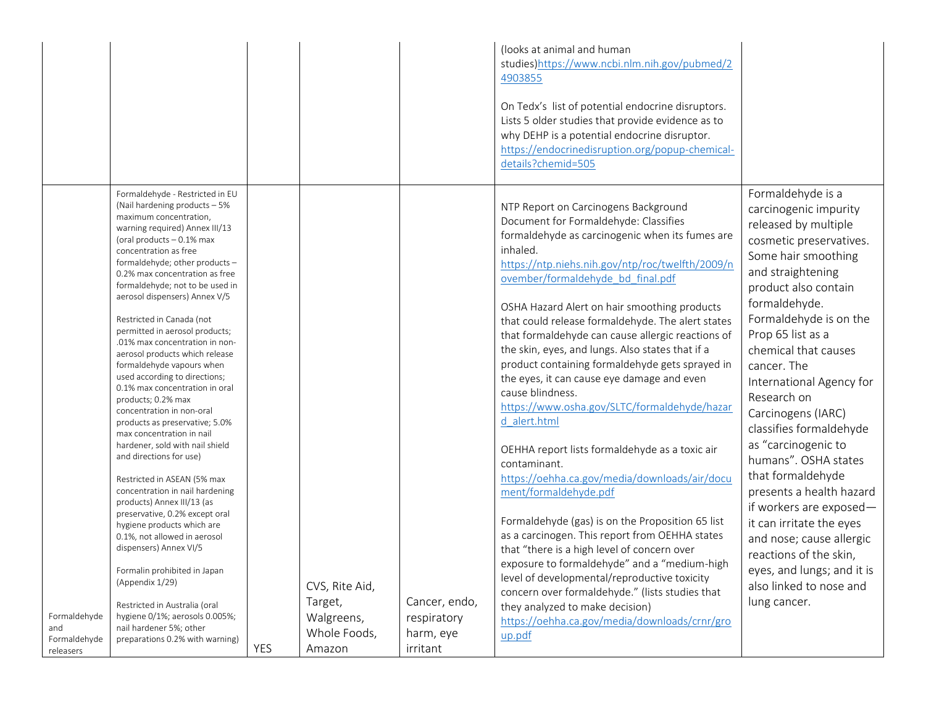| Formaldehyde - Restricted in EU                                                                                                                                                                                                                                                                                                                                                                                                                                                                                                                                                                                                                                                                                                                                                                                                                                                                                                                                                                                                                                                                                                                                              |     |                                                                   |                                                       | (looks at animal and human<br>studies)https://www.ncbi.nlm.nih.gov/pubmed/2<br>4903855<br>On Tedx's list of potential endocrine disruptors.<br>Lists 5 older studies that provide evidence as to<br>why DEHP is a potential endocrine disruptor.<br>https://endocrinedisruption.org/popup-chemical-<br>details?chemid=505                                                                                                                                                                                                                                                                                                                                                                                                                                                                                                                                                                                                                                                                                                                                                                                                                                                                  | Formaldehyde is a                                                                                                                                                                                                                                                                                                                                                                                                                                                                                                                                                                                                                     |
|------------------------------------------------------------------------------------------------------------------------------------------------------------------------------------------------------------------------------------------------------------------------------------------------------------------------------------------------------------------------------------------------------------------------------------------------------------------------------------------------------------------------------------------------------------------------------------------------------------------------------------------------------------------------------------------------------------------------------------------------------------------------------------------------------------------------------------------------------------------------------------------------------------------------------------------------------------------------------------------------------------------------------------------------------------------------------------------------------------------------------------------------------------------------------|-----|-------------------------------------------------------------------|-------------------------------------------------------|--------------------------------------------------------------------------------------------------------------------------------------------------------------------------------------------------------------------------------------------------------------------------------------------------------------------------------------------------------------------------------------------------------------------------------------------------------------------------------------------------------------------------------------------------------------------------------------------------------------------------------------------------------------------------------------------------------------------------------------------------------------------------------------------------------------------------------------------------------------------------------------------------------------------------------------------------------------------------------------------------------------------------------------------------------------------------------------------------------------------------------------------------------------------------------------------|---------------------------------------------------------------------------------------------------------------------------------------------------------------------------------------------------------------------------------------------------------------------------------------------------------------------------------------------------------------------------------------------------------------------------------------------------------------------------------------------------------------------------------------------------------------------------------------------------------------------------------------|
| (Nail hardening products - 5%<br>maximum concentration,<br>warning required) Annex III/13<br>(oral products - 0.1% max<br>concentration as free<br>formaldehyde; other products -<br>0.2% max concentration as free<br>formaldehyde; not to be used in<br>aerosol dispensers) Annex V/5<br>Restricted in Canada (not<br>permitted in aerosol products;<br>.01% max concentration in non-<br>aerosol products which release<br>formaldehyde vapours when<br>used according to directions;<br>0.1% max concentration in oral<br>products; 0.2% max<br>concentration in non-oral<br>products as preservative; 5.0%<br>max concentration in nail<br>hardener, sold with nail shield<br>and directions for use)<br>Restricted in ASEAN (5% max<br>concentration in nail hardening<br>products) Annex III/13 (as<br>preservative, 0.2% except oral<br>hygiene products which are<br>0.1%, not allowed in aerosol<br>dispensers) Annex VI/5<br>Formalin prohibited in Japan<br>(Appendix 1/29)<br>Restricted in Australia (oral<br>hygiene 0/1%; aerosols 0.005%;<br>Formaldehyde<br>nail hardener 5%; other<br>and<br>preparations 0.2% with warning)<br>Formaldehyde<br>releasers | YES | CVS, Rite Aid,<br>Target,<br>Walgreens,<br>Whole Foods,<br>Amazon | Cancer, endo,<br>respiratory<br>harm, eye<br>irritant | NTP Report on Carcinogens Background<br>Document for Formaldehyde: Classifies<br>formaldehyde as carcinogenic when its fumes are<br>inhaled.<br>https://ntp.niehs.nih.gov/ntp/roc/twelfth/2009/n<br>ovember/formaldehyde bd final.pdf<br>OSHA Hazard Alert on hair smoothing products<br>that could release formaldehyde. The alert states<br>that formaldehyde can cause allergic reactions of<br>the skin, eyes, and lungs. Also states that if a<br>product containing formaldehyde gets sprayed in<br>the eyes, it can cause eye damage and even<br>cause blindness.<br>https://www.osha.gov/SLTC/formaldehyde/hazar<br>d alert.html<br>OEHHA report lists formaldehyde as a toxic air<br>contaminant.<br>https://oehha.ca.gov/media/downloads/air/docu<br>ment/formaldehyde.pdf<br>Formaldehyde (gas) is on the Proposition 65 list<br>as a carcinogen. This report from OEHHA states<br>that "there is a high level of concern over<br>exposure to formaldehyde" and a "medium-high<br>level of developmental/reproductive toxicity<br>concern over formaldehyde." (lists studies that<br>they analyzed to make decision)<br>https://oehha.ca.gov/media/downloads/crnr/gro<br>up.pdf | carcinogenic impurity<br>released by multiple<br>cosmetic preservatives.<br>Some hair smoothing<br>and straightening<br>product also contain<br>formaldehyde.<br>Formaldehyde is on the<br>Prop 65 list as a<br>chemical that causes<br>cancer. The<br>International Agency for<br>Research on<br>Carcinogens (IARC)<br>classifies formaldehyde<br>as "carcinogenic to<br>humans". OSHA states<br>that formaldehyde<br>presents a health hazard<br>if workers are exposed-<br>it can irritate the eyes<br>and nose; cause allergic<br>reactions of the skin,<br>eyes, and lungs; and it is<br>also linked to nose and<br>lung cancer. |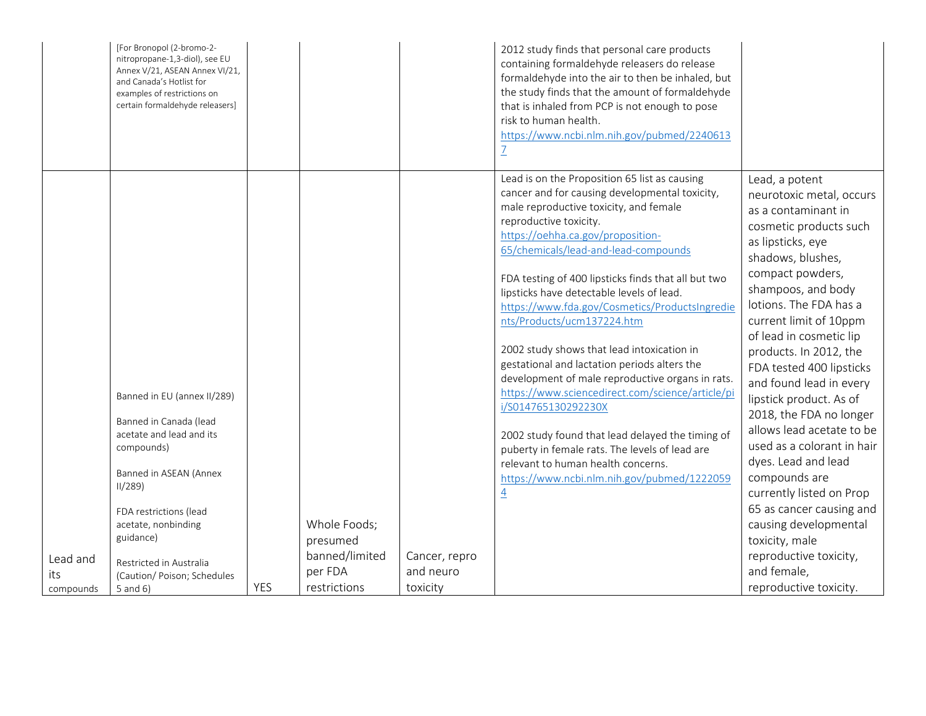|                              | [For Bronopol (2-bromo-2-<br>nitropropane-1,3-diol), see EU<br>Annex V/21, ASEAN Annex VI/21,<br>and Canada's Hotlist for<br>examples of restrictions on<br>certain formaldehyde releasers]                                                                                |     |                                                                       |                                        | 2012 study finds that personal care products<br>containing formaldehyde releasers do release<br>formaldehyde into the air to then be inhaled, but<br>the study finds that the amount of formaldehyde<br>that is inhaled from PCP is not enough to pose<br>risk to human health.<br>https://www.ncbi.nlm.nih.gov/pubmed/2240613                                                                                                                                                                                                                                                                                                                                                                                                                                                                                                                                                 |                                                                                                                                                                                                                                                                                                                                                                                                                                                                                                                                                                                                                                                                                |
|------------------------------|----------------------------------------------------------------------------------------------------------------------------------------------------------------------------------------------------------------------------------------------------------------------------|-----|-----------------------------------------------------------------------|----------------------------------------|--------------------------------------------------------------------------------------------------------------------------------------------------------------------------------------------------------------------------------------------------------------------------------------------------------------------------------------------------------------------------------------------------------------------------------------------------------------------------------------------------------------------------------------------------------------------------------------------------------------------------------------------------------------------------------------------------------------------------------------------------------------------------------------------------------------------------------------------------------------------------------|--------------------------------------------------------------------------------------------------------------------------------------------------------------------------------------------------------------------------------------------------------------------------------------------------------------------------------------------------------------------------------------------------------------------------------------------------------------------------------------------------------------------------------------------------------------------------------------------------------------------------------------------------------------------------------|
| Lead and<br>its<br>compounds | Banned in EU (annex II/289)<br>Banned in Canada (lead<br>acetate and lead and its<br>compounds)<br>Banned in ASEAN (Annex<br>11/289<br>FDA restrictions (lead<br>acetate, nonbinding<br>guidance)<br>Restricted in Australia<br>(Caution/ Poison; Schedules<br>5 and $6$ ) | YES | Whole Foods;<br>presumed<br>banned/limited<br>per FDA<br>restrictions | Cancer, repro<br>and neuro<br>toxicity | Lead is on the Proposition 65 list as causing<br>cancer and for causing developmental toxicity,<br>male reproductive toxicity, and female<br>reproductive toxicity.<br>https://oehha.ca.gov/proposition-<br>65/chemicals/lead-and-lead-compounds<br>FDA testing of 400 lipsticks finds that all but two<br>lipsticks have detectable levels of lead.<br>https://www.fda.gov/Cosmetics/ProductsIngredie<br>nts/Products/ucm137224.htm<br>2002 study shows that lead intoxication in<br>gestational and lactation periods alters the<br>development of male reproductive organs in rats.<br>https://www.sciencedirect.com/science/article/pi<br>i/S014765130292230X<br>2002 study found that lead delayed the timing of<br>puberty in female rats. The levels of lead are<br>relevant to human health concerns.<br>https://www.ncbi.nlm.nih.gov/pubmed/1222059<br>$\overline{4}$ | Lead, a potent<br>neurotoxic metal, occurs<br>as a contaminant in<br>cosmetic products such<br>as lipsticks, eye<br>shadows, blushes,<br>compact powders,<br>shampoos, and body<br>lotions. The FDA has a<br>current limit of 10ppm<br>of lead in cosmetic lip<br>products. In 2012, the<br>FDA tested 400 lipsticks<br>and found lead in every<br>lipstick product. As of<br>2018, the FDA no longer<br>allows lead acetate to be<br>used as a colorant in hair<br>dyes. Lead and lead<br>compounds are<br>currently listed on Prop<br>65 as cancer causing and<br>causing developmental<br>toxicity, male<br>reproductive toxicity,<br>and female,<br>reproductive toxicity. |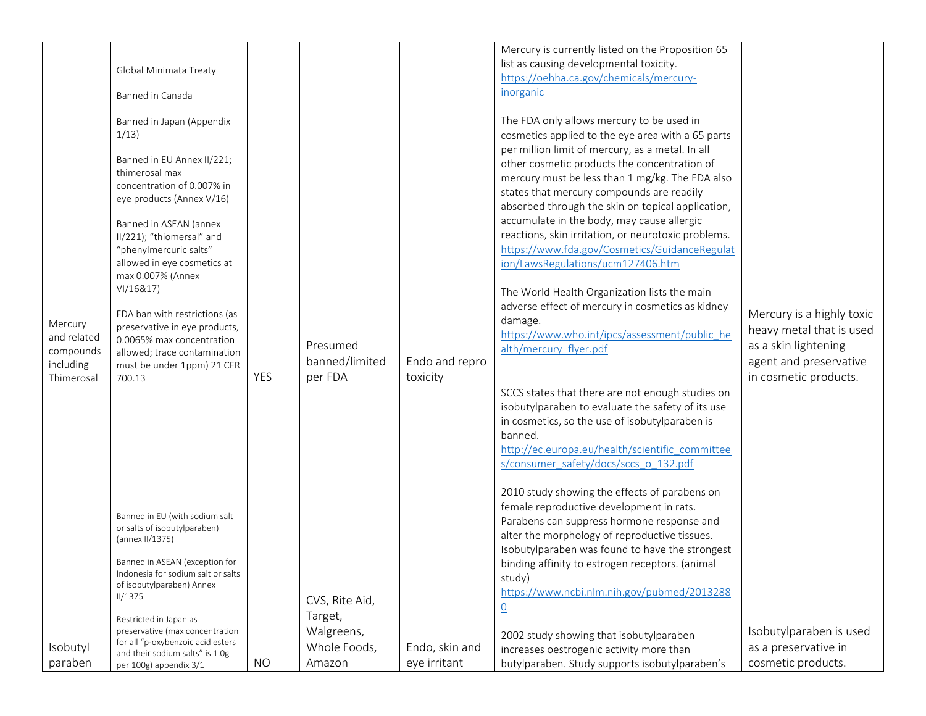|                                                                | Global Minimata Treaty<br>Banned in Canada<br>Banned in Japan (Appendix<br>1/13)<br>Banned in EU Annex II/221;<br>thimerosal max                                                                                                                               |            |                                         |                                | Mercury is currently listed on the Proposition 65<br>list as causing developmental toxicity.<br>https://oehha.ca.gov/chemicals/mercury-<br>inorganic<br>The FDA only allows mercury to be used in<br>cosmetics applied to the eye area with a 65 parts<br>per million limit of mercury, as a metal. In all<br>other cosmetic products the concentration of                                                                                                                                                                                                                                                                                   |                                                                                                                                  |
|----------------------------------------------------------------|----------------------------------------------------------------------------------------------------------------------------------------------------------------------------------------------------------------------------------------------------------------|------------|-----------------------------------------|--------------------------------|----------------------------------------------------------------------------------------------------------------------------------------------------------------------------------------------------------------------------------------------------------------------------------------------------------------------------------------------------------------------------------------------------------------------------------------------------------------------------------------------------------------------------------------------------------------------------------------------------------------------------------------------|----------------------------------------------------------------------------------------------------------------------------------|
|                                                                | concentration of 0.007% in<br>eye products (Annex V/16)<br>Banned in ASEAN (annex<br>II/221); "thiomersal" and<br>"phenylmercuric salts"<br>allowed in eye cosmetics at                                                                                        |            |                                         |                                | mercury must be less than 1 mg/kg. The FDA also<br>states that mercury compounds are readily<br>absorbed through the skin on topical application,<br>accumulate in the body, may cause allergic<br>reactions, skin irritation, or neurotoxic problems.<br>https://www.fda.gov/Cosmetics/GuidanceRegulat<br>ion/LawsRegulations/ucm127406.htm                                                                                                                                                                                                                                                                                                 |                                                                                                                                  |
| Mercury<br>and related<br>compounds<br>including<br>Thimerosal | max 0.007% (Annex<br>VI/16&17)<br>FDA ban with restrictions (as<br>preservative in eye products,<br>0.0065% max concentration<br>allowed; trace contamination<br>must be under 1ppm) 21 CFR<br>700.13                                                          | <b>YES</b> | Presumed<br>banned/limited<br>per FDA   | Endo and repro<br>toxicity     | The World Health Organization lists the main<br>adverse effect of mercury in cosmetics as kidney<br>damage.<br>https://www.who.int/ipcs/assessment/public he<br>alth/mercury flyer.pdf                                                                                                                                                                                                                                                                                                                                                                                                                                                       | Mercury is a highly toxic<br>heavy metal that is used<br>as a skin lightening<br>agent and preservative<br>in cosmetic products. |
|                                                                | Banned in EU (with sodium salt<br>or salts of isobutylparaben)<br>(annex II/1375)<br>Banned in ASEAN (exception for<br>Indonesia for sodium salt or salts<br>of isobutylparaben) Annex<br>II/1375<br>Restricted in Japan as<br>preservative (max concentration |            | CVS, Rite Aid,<br>Target,<br>Walgreens, |                                | SCCS states that there are not enough studies on<br>isobutylparaben to evaluate the safety of its use<br>in cosmetics, so the use of isobutylparaben is<br>banned.<br>http://ec.europa.eu/health/scientific_committee<br>s/consumer safety/docs/sccs o 132.pdf<br>2010 study showing the effects of parabens on<br>female reproductive development in rats.<br>Parabens can suppress hormone response and<br>alter the morphology of reproductive tissues.<br>Isobutylparaben was found to have the strongest<br>binding affinity to estrogen receptors. (animal<br>study)<br>https://www.ncbi.nlm.nih.gov/pubmed/2013288<br>$\underline{0}$ | Isobutylparaben is used                                                                                                          |
| Isobutyl<br>paraben                                            | for all "p-oxybenzoic acid esters<br>and their sodium salts" is 1.0g<br>per 100g) appendix 3/1                                                                                                                                                                 | <b>NO</b>  | Whole Foods,<br>Amazon                  | Endo, skin and<br>eye irritant | 2002 study showing that isobutylparaben<br>increases oestrogenic activity more than<br>butylparaben. Study supports isobutylparaben's                                                                                                                                                                                                                                                                                                                                                                                                                                                                                                        | as a preservative in<br>cosmetic products.                                                                                       |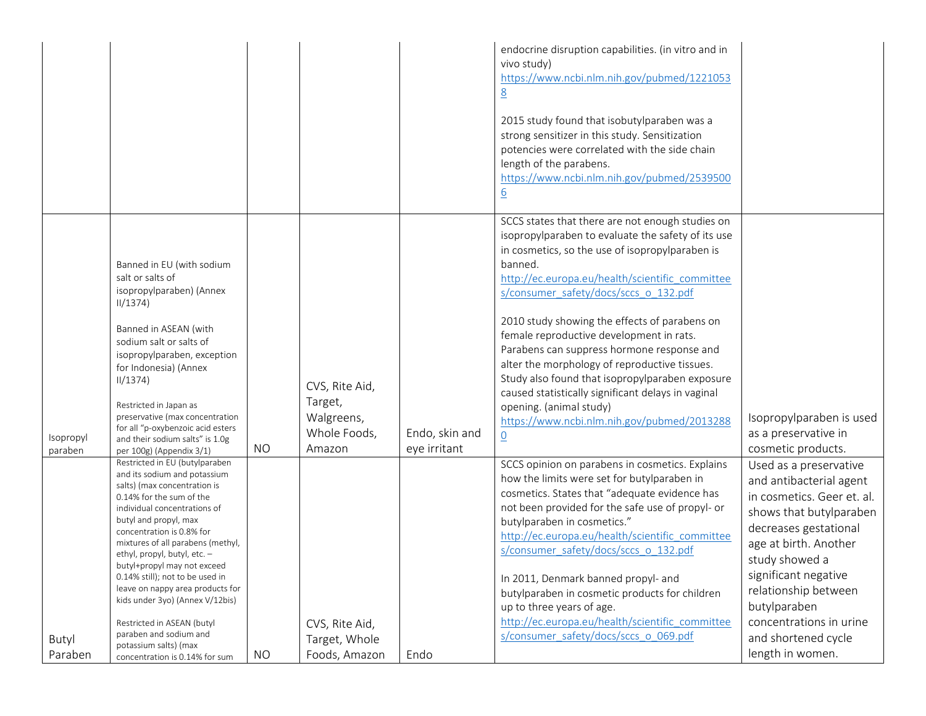|                                                                                                                                                                                                                                                                                                                                                                                                                                                                                                                                                                                                                                                                                                                                                                                                                                                                                                                        |                                                                                                      |                                | endocrine disruption capabilities. (in vitro and in<br>vivo study)<br>https://www.ncbi.nlm.nih.gov/pubmed/1221053<br>8<br>2015 study found that isobutylparaben was a<br>strong sensitizer in this study. Sensitization<br>potencies were correlated with the side chain<br>length of the parabens.<br>https://www.ncbi.nlm.nih.gov/pubmed/2539500<br>$\underline{6}$                                                                                                                                                                                                                                                                                                                                                                                                                                                                                                                                                                                                                                                                                                                                                                                                                                                  |                                                                                                                                                                                                                                                                                                                                                                            |
|------------------------------------------------------------------------------------------------------------------------------------------------------------------------------------------------------------------------------------------------------------------------------------------------------------------------------------------------------------------------------------------------------------------------------------------------------------------------------------------------------------------------------------------------------------------------------------------------------------------------------------------------------------------------------------------------------------------------------------------------------------------------------------------------------------------------------------------------------------------------------------------------------------------------|------------------------------------------------------------------------------------------------------|--------------------------------|------------------------------------------------------------------------------------------------------------------------------------------------------------------------------------------------------------------------------------------------------------------------------------------------------------------------------------------------------------------------------------------------------------------------------------------------------------------------------------------------------------------------------------------------------------------------------------------------------------------------------------------------------------------------------------------------------------------------------------------------------------------------------------------------------------------------------------------------------------------------------------------------------------------------------------------------------------------------------------------------------------------------------------------------------------------------------------------------------------------------------------------------------------------------------------------------------------------------|----------------------------------------------------------------------------------------------------------------------------------------------------------------------------------------------------------------------------------------------------------------------------------------------------------------------------------------------------------------------------|
| Banned in EU (with sodium<br>salt or salts of<br>isopropylparaben) (Annex<br>11/1374)<br>Banned in ASEAN (with<br>sodium salt or salts of<br>isopropylparaben, exception<br>for Indonesia) (Annex<br>11/1374)<br>Restricted in Japan as<br>preservative (max concentration<br>for all "p-oxybenzoic acid esters<br>Isopropyl<br>and their sodium salts" is 1.0g<br><b>NO</b><br>paraben<br>per 100g) (Appendix 3/1)<br>Restricted in EU (butylparaben<br>and its sodium and potassium<br>salts) (max concentration is<br>0.14% for the sum of the<br>individual concentrations of<br>butyl and propyl, max<br>concentration is 0.8% for<br>mixtures of all parabens (methyl,<br>ethyl, propyl, butyl, etc. -<br>butyl+propyl may not exceed<br>0.14% still); not to be used in<br>leave on nappy area products for<br>kids under 3yo) (Annex V/12bis)<br>Restricted in ASEAN (butyl<br>paraben and sodium and<br>Butyl | CVS, Rite Aid,<br>Target,<br>Walgreens,<br>Whole Foods,<br>Amazon<br>CVS, Rite Aid,<br>Target, Whole | Endo, skin and<br>eye irritant | SCCS states that there are not enough studies on<br>isopropylparaben to evaluate the safety of its use<br>in cosmetics, so the use of isopropylparaben is<br>banned.<br>http://ec.europa.eu/health/scientific_committee<br>s/consumer_safety/docs/sccs_o_132.pdf<br>2010 study showing the effects of parabens on<br>female reproductive development in rats.<br>Parabens can suppress hormone response and<br>alter the morphology of reproductive tissues.<br>Study also found that isopropylparaben exposure<br>caused statistically significant delays in vaginal<br>opening. (animal study)<br>https://www.ncbi.nlm.nih.gov/pubmed/2013288<br>$\underline{0}$<br>SCCS opinion on parabens in cosmetics. Explains<br>how the limits were set for butylparaben in<br>cosmetics. States that "adequate evidence has<br>not been provided for the safe use of propyl- or<br>butylparaben in cosmetics."<br>http://ec.europa.eu/health/scientific committee<br>s/consumer safety/docs/sccs o 132.pdf<br>In 2011, Denmark banned propyl- and<br>butylparaben in cosmetic products for children<br>up to three years of age.<br>http://ec.europa.eu/health/scientific_committee<br>s/consumer_safety/docs/sccs_o_069.pdf | Isopropylparaben is used<br>as a preservative in<br>cosmetic products.<br>Used as a preservative<br>and antibacterial agent<br>in cosmetics. Geer et. al.<br>shows that butylparaben<br>decreases gestational<br>age at birth. Another<br>study showed a<br>significant negative<br>relationship between<br>butylparaben<br>concentrations in urine<br>and shortened cycle |
| potassium salts) (max<br>Paraben<br><b>NO</b><br>concentration is 0.14% for sum                                                                                                                                                                                                                                                                                                                                                                                                                                                                                                                                                                                                                                                                                                                                                                                                                                        | Foods, Amazon                                                                                        | Endo                           |                                                                                                                                                                                                                                                                                                                                                                                                                                                                                                                                                                                                                                                                                                                                                                                                                                                                                                                                                                                                                                                                                                                                                                                                                        | length in women.                                                                                                                                                                                                                                                                                                                                                           |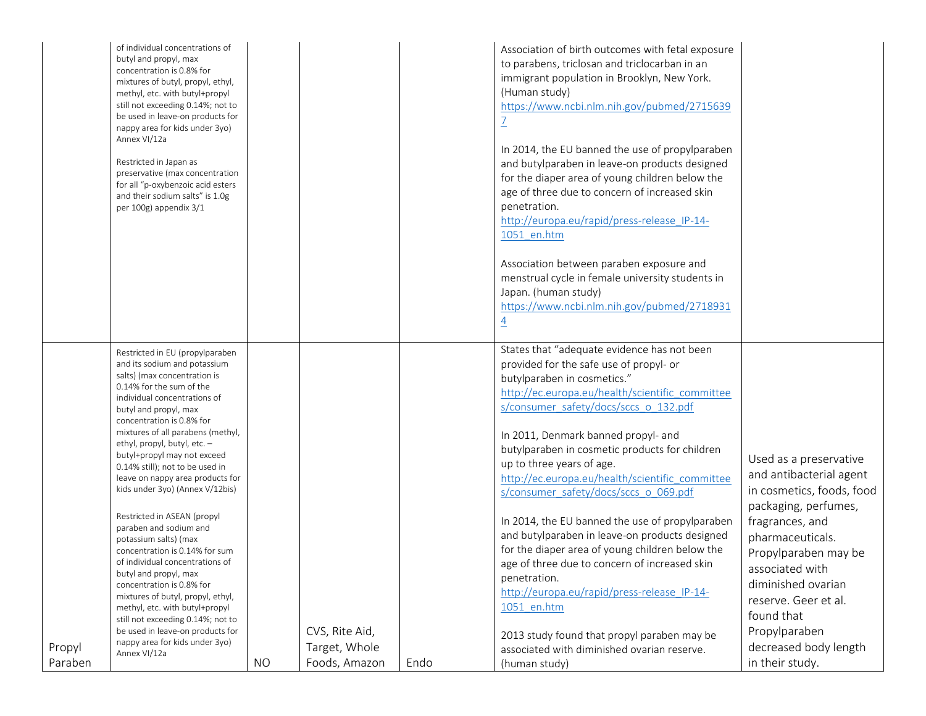|                   | of individual concentrations of<br>butyl and propyl, max<br>concentration is 0.8% for<br>mixtures of butyl, propyl, ethyl,<br>methyl, etc. with butyl+propyl<br>still not exceeding 0.14%; not to<br>be used in leave-on products for<br>nappy area for kids under 3yo)<br>Annex VI/12a<br>Restricted in Japan as<br>preservative (max concentration<br>for all "p-oxybenzoic acid esters<br>and their sodium salts" is 1.0g<br>per 100g) appendix 3/1                                                                                                                                                                                                                                                                                                                                                                                         |           |                                                  |      | Association of birth outcomes with fetal exposure<br>to parabens, triclosan and triclocarban in an<br>immigrant population in Brooklyn, New York.<br>(Human study)<br>https://www.ncbi.nlm.nih.gov/pubmed/2715639<br>$\overline{1}$<br>In 2014, the EU banned the use of propylparaben<br>and butylparaben in leave-on products designed<br>for the diaper area of young children below the<br>age of three due to concern of increased skin<br>penetration.<br>http://europa.eu/rapid/press-release IP-14-<br>1051 en.htm<br>Association between paraben exposure and<br>menstrual cycle in female university students in<br>Japan. (human study)<br>https://www.ncbi.nlm.nih.gov/pubmed/2718931<br>$\overline{4}$                                                                                                                       |                                                                                                                                                                                                                                                                                                                   |
|-------------------|------------------------------------------------------------------------------------------------------------------------------------------------------------------------------------------------------------------------------------------------------------------------------------------------------------------------------------------------------------------------------------------------------------------------------------------------------------------------------------------------------------------------------------------------------------------------------------------------------------------------------------------------------------------------------------------------------------------------------------------------------------------------------------------------------------------------------------------------|-----------|--------------------------------------------------|------|-------------------------------------------------------------------------------------------------------------------------------------------------------------------------------------------------------------------------------------------------------------------------------------------------------------------------------------------------------------------------------------------------------------------------------------------------------------------------------------------------------------------------------------------------------------------------------------------------------------------------------------------------------------------------------------------------------------------------------------------------------------------------------------------------------------------------------------------|-------------------------------------------------------------------------------------------------------------------------------------------------------------------------------------------------------------------------------------------------------------------------------------------------------------------|
| Propyl<br>Paraben | Restricted in EU (propylparaben<br>and its sodium and potassium<br>salts) (max concentration is<br>0.14% for the sum of the<br>individual concentrations of<br>butyl and propyl, max<br>concentration is 0.8% for<br>mixtures of all parabens (methyl,<br>ethyl, propyl, butyl, etc. -<br>butyl+propyl may not exceed<br>0.14% still); not to be used in<br>leave on nappy area products for<br>kids under 3yo) (Annex V/12bis)<br>Restricted in ASEAN (propyl<br>paraben and sodium and<br>potassium salts) (max<br>concentration is 0.14% for sum<br>of individual concentrations of<br>butyl and propyl, max<br>concentration is 0.8% for<br>mixtures of butyl, propyl, ethyl,<br>methyl, etc. with butyl+propyl<br>still not exceeding 0.14%; not to<br>be used in leave-on products for<br>nappy area for kids under 3yo)<br>Annex VI/12a | <b>NO</b> | CVS, Rite Aid,<br>Target, Whole<br>Foods, Amazon | Endo | States that "adequate evidence has not been<br>provided for the safe use of propyl- or<br>butylparaben in cosmetics."<br>http://ec.europa.eu/health/scientific committee<br>s/consumer_safety/docs/sccs_o_132.pdf<br>In 2011, Denmark banned propyl- and<br>butylparaben in cosmetic products for children<br>up to three years of age.<br>http://ec.europa.eu/health/scientific committee<br>s/consumer_safety/docs/sccs_o_069.pdf<br>In 2014, the EU banned the use of propylparaben<br>and butylparaben in leave-on products designed<br>for the diaper area of young children below the<br>age of three due to concern of increased skin<br>penetration.<br>http://europa.eu/rapid/press-release IP-14-<br>1051 en.htm<br>2013 study found that propyl paraben may be<br>associated with diminished ovarian reserve.<br>(human study) | Used as a preservative<br>and antibacterial agent<br>in cosmetics, foods, food<br>packaging, perfumes,<br>fragrances, and<br>pharmaceuticals.<br>Propylparaben may be<br>associated with<br>diminished ovarian<br>reserve. Geer et al.<br>found that<br>Propylparaben<br>decreased body length<br>in their study. |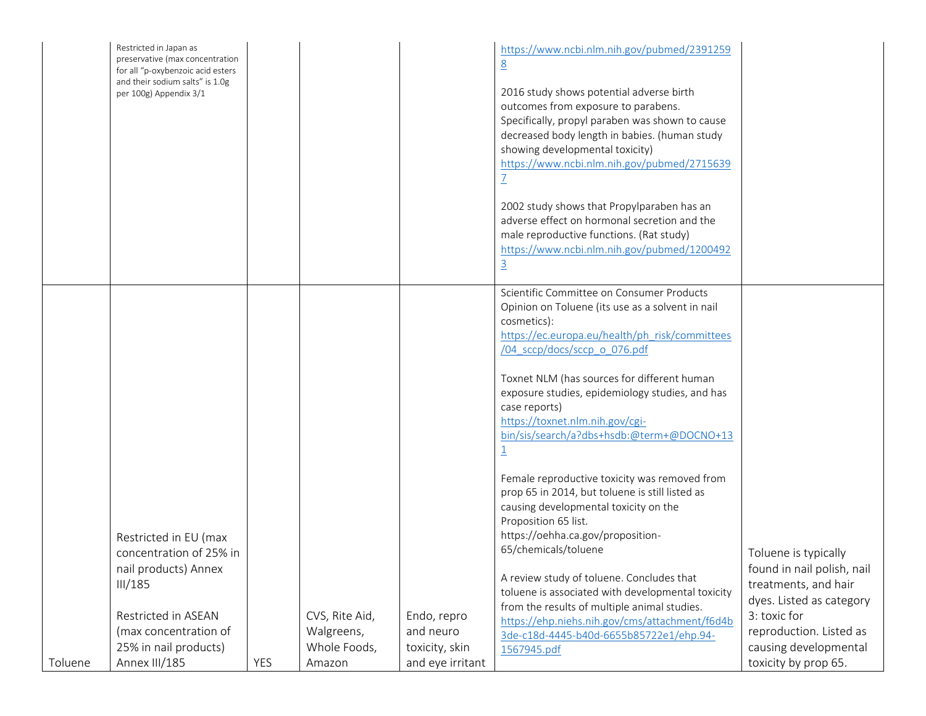|         | Restricted in Japan as<br>preservative (max concentration<br>for all "p-oxybenzoic acid esters<br>and their sodium salts" is 1.0g<br>per 100g) Appendix 3/1                   |     |                                                        |                                                                | https://www.ncbi.nlm.nih.gov/pubmed/2391259<br>8<br>2016 study shows potential adverse birth<br>outcomes from exposure to parabens.<br>Specifically, propyl paraben was shown to cause<br>decreased body length in babies. (human study<br>showing developmental toxicity)<br>https://www.ncbi.nlm.nih.gov/pubmed/2715639<br>2002 study shows that Propylparaben has an<br>adverse effect on hormonal secretion and the<br>male reproductive functions. (Rat study)<br>https://www.ncbi.nlm.nih.gov/pubmed/1200492<br>$\overline{3}$                                                                                                                                                                                                                                                                                                                                                              |                                                                                                                                                                                                    |
|---------|-------------------------------------------------------------------------------------------------------------------------------------------------------------------------------|-----|--------------------------------------------------------|----------------------------------------------------------------|---------------------------------------------------------------------------------------------------------------------------------------------------------------------------------------------------------------------------------------------------------------------------------------------------------------------------------------------------------------------------------------------------------------------------------------------------------------------------------------------------------------------------------------------------------------------------------------------------------------------------------------------------------------------------------------------------------------------------------------------------------------------------------------------------------------------------------------------------------------------------------------------------|----------------------------------------------------------------------------------------------------------------------------------------------------------------------------------------------------|
| Toluene | Restricted in EU (max<br>concentration of 25% in<br>nail products) Annex<br>III/185<br>Restricted in ASEAN<br>(max concentration of<br>25% in nail products)<br>Annex III/185 | YES | CVS, Rite Aid,<br>Walgreens,<br>Whole Foods,<br>Amazon | Endo, repro<br>and neuro<br>toxicity, skin<br>and eye irritant | Scientific Committee on Consumer Products<br>Opinion on Toluene (its use as a solvent in nail<br>cosmetics):<br>https://ec.europa.eu/health/ph risk/committees<br>/04 sccp/docs/sccp o 076.pdf<br>Toxnet NLM (has sources for different human<br>exposure studies, epidemiology studies, and has<br>case reports)<br>https://toxnet.nlm.nih.gov/cgi-<br>bin/sis/search/a?dbs+hsdb:@term+@DOCNO+13<br>Female reproductive toxicity was removed from<br>prop 65 in 2014, but toluene is still listed as<br>causing developmental toxicity on the<br>Proposition 65 list.<br>https://oehha.ca.gov/proposition-<br>65/chemicals/toluene<br>A review study of toluene. Concludes that<br>toluene is associated with developmental toxicity<br>from the results of multiple animal studies.<br>https://ehp.niehs.nih.gov/cms/attachment/f6d4b<br>3de-c18d-4445-b40d-6655b85722e1/ehp.94-<br>1567945.pdf | Toluene is typically<br>found in nail polish, nail<br>treatments, and hair<br>dyes. Listed as category<br>3: toxic for<br>reproduction. Listed as<br>causing developmental<br>toxicity by prop 65. |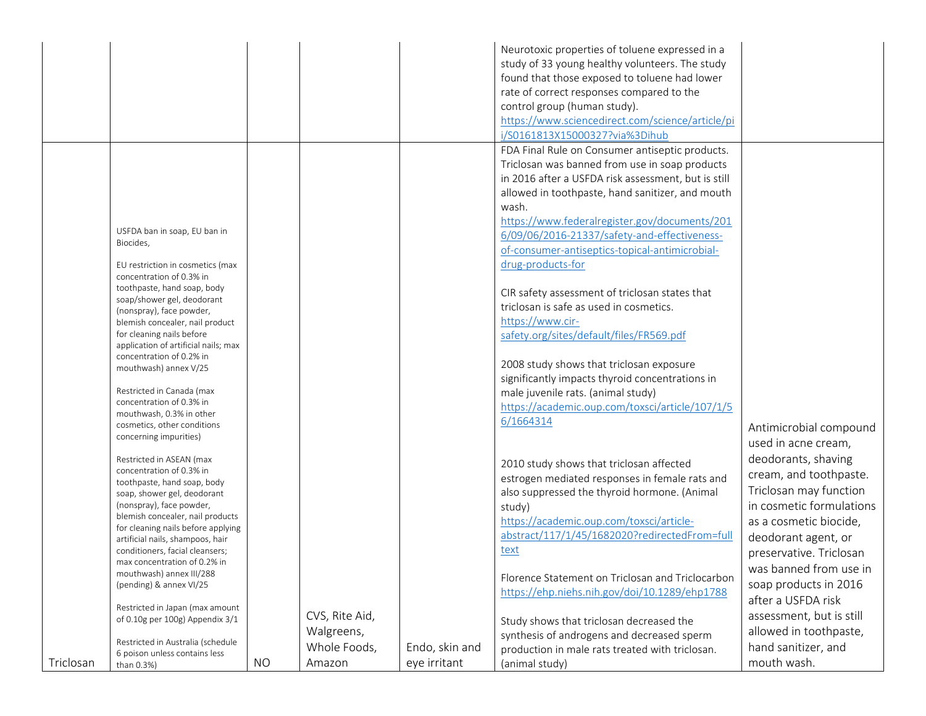|           |                                                                    |           |                |                | Neurotoxic properties of toluene expressed in a     |                          |
|-----------|--------------------------------------------------------------------|-----------|----------------|----------------|-----------------------------------------------------|--------------------------|
|           |                                                                    |           |                |                | study of 33 young healthy volunteers. The study     |                          |
|           |                                                                    |           |                |                | found that those exposed to toluene had lower       |                          |
|           |                                                                    |           |                |                |                                                     |                          |
|           |                                                                    |           |                |                | rate of correct responses compared to the           |                          |
|           |                                                                    |           |                |                | control group (human study).                        |                          |
|           |                                                                    |           |                |                | https://www.sciencedirect.com/science/article/pi    |                          |
|           |                                                                    |           |                |                | i/S0161813X15000327?via%3Dihub                      |                          |
|           |                                                                    |           |                |                | FDA Final Rule on Consumer antiseptic products.     |                          |
|           |                                                                    |           |                |                | Triclosan was banned from use in soap products      |                          |
|           |                                                                    |           |                |                | in 2016 after a USFDA risk assessment, but is still |                          |
|           |                                                                    |           |                |                | allowed in toothpaste, hand sanitizer, and mouth    |                          |
|           |                                                                    |           |                |                | wash.                                               |                          |
|           |                                                                    |           |                |                | https://www.federalregister.gov/documents/201       |                          |
|           | USFDA ban in soap, EU ban in                                       |           |                |                | 6/09/06/2016-21337/safety-and-effectiveness-        |                          |
|           | Biocides,                                                          |           |                |                |                                                     |                          |
|           |                                                                    |           |                |                | of-consumer-antiseptics-topical-antimicrobial-      |                          |
|           | EU restriction in cosmetics (max                                   |           |                |                | drug-products-for                                   |                          |
|           | concentration of 0.3% in                                           |           |                |                |                                                     |                          |
|           | toothpaste, hand soap, body<br>soap/shower gel, deodorant          |           |                |                | CIR safety assessment of triclosan states that      |                          |
|           | (nonspray), face powder,                                           |           |                |                | triclosan is safe as used in cosmetics.             |                          |
|           | blemish concealer, nail product                                    |           |                |                | https://www.cir-                                    |                          |
|           | for cleaning nails before                                          |           |                |                | safety.org/sites/default/files/FR569.pdf            |                          |
|           | application of artificial nails; max                               |           |                |                |                                                     |                          |
|           | concentration of 0.2% in                                           |           |                |                | 2008 study shows that triclosan exposure            |                          |
|           | mouthwash) annex V/25                                              |           |                |                | significantly impacts thyroid concentrations in     |                          |
|           | Restricted in Canada (max                                          |           |                |                | male juvenile rats. (animal study)                  |                          |
|           | concentration of 0.3% in                                           |           |                |                |                                                     |                          |
|           | mouthwash, 0.3% in other                                           |           |                |                | https://academic.oup.com/toxsci/article/107/1/5     |                          |
|           | cosmetics, other conditions                                        |           |                |                | 6/1664314                                           | Antimicrobial compound   |
|           | concerning impurities)                                             |           |                |                |                                                     | used in acne cream,      |
|           |                                                                    |           |                |                |                                                     |                          |
|           | Restricted in ASEAN (max<br>concentration of 0.3% in               |           |                |                | 2010 study shows that triclosan affected            | deodorants, shaving      |
|           | toothpaste, hand soap, body                                        |           |                |                | estrogen mediated responses in female rats and      | cream, and toothpaste.   |
|           | soap, shower gel, deodorant                                        |           |                |                | also suppressed the thyroid hormone. (Animal        | Triclosan may function   |
|           | (nonspray), face powder,                                           |           |                |                | study)                                              | in cosmetic formulations |
|           | blemish concealer, nail products                                   |           |                |                | https://academic.oup.com/toxsci/article-            | as a cosmetic biocide,   |
|           | for cleaning nails before applying                                 |           |                |                | abstract/117/1/45/1682020?redirectedFrom=full       |                          |
|           | artificial nails, shampoos, hair                                   |           |                |                |                                                     | deodorant agent, or      |
|           | conditioners, facial cleansers;                                    |           |                |                | text                                                | preservative. Triclosan  |
|           | max concentration of 0.2% in<br>mouthwash) annex III/288           |           |                |                |                                                     | was banned from use in   |
|           | (pending) & annex VI/25                                            |           |                |                | Florence Statement on Triclosan and Triclocarbon    | soap products in 2016    |
|           |                                                                    |           |                |                | https://ehp.niehs.nih.gov/doi/10.1289/ehp1788       | after a USFDA risk       |
|           | Restricted in Japan (max amount                                    |           |                |                |                                                     |                          |
|           | of 0.10g per 100g) Appendix 3/1                                    |           | CVS, Rite Aid, |                | Study shows that triclosan decreased the            | assessment, but is still |
|           |                                                                    |           | Walgreens,     |                | synthesis of androgens and decreased sperm          | allowed in toothpaste,   |
|           | Restricted in Australia (schedule<br>6 poison unless contains less |           | Whole Foods,   | Endo, skin and | production in male rats treated with triclosan.     | hand sanitizer, and      |
| Triclosan | than 0.3%)                                                         | <b>NO</b> | Amazon         | eye irritant   | (animal study)                                      | mouth wash.              |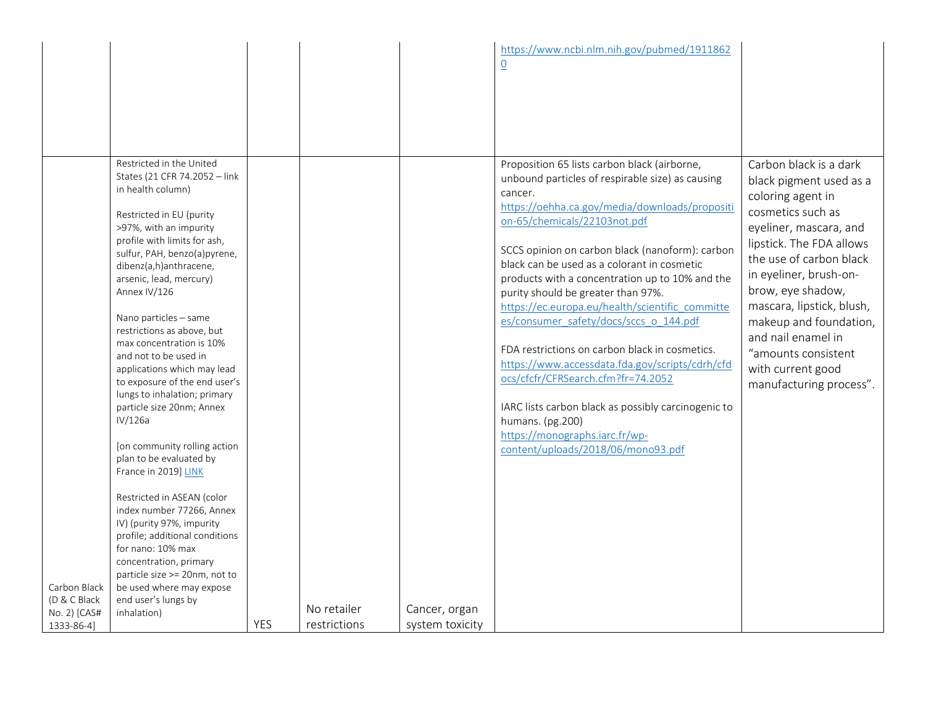|                                                            |                                                                                                                                                                                                                                                                                                                                                                                                                                                                                                                                                                                                                                                                                                                                                                                                                                                                                              |            |                             |                                  | https://www.ncbi.nlm.nih.gov/pubmed/1911862<br>$\underline{0}$                                                                                                                                                                                                                                                                                                                                                                                                                                                                                                                                                                                                                                                                                                                      |                                                                                                                                                                                                                                                                                                                                                                                 |
|------------------------------------------------------------|----------------------------------------------------------------------------------------------------------------------------------------------------------------------------------------------------------------------------------------------------------------------------------------------------------------------------------------------------------------------------------------------------------------------------------------------------------------------------------------------------------------------------------------------------------------------------------------------------------------------------------------------------------------------------------------------------------------------------------------------------------------------------------------------------------------------------------------------------------------------------------------------|------------|-----------------------------|----------------------------------|-------------------------------------------------------------------------------------------------------------------------------------------------------------------------------------------------------------------------------------------------------------------------------------------------------------------------------------------------------------------------------------------------------------------------------------------------------------------------------------------------------------------------------------------------------------------------------------------------------------------------------------------------------------------------------------------------------------------------------------------------------------------------------------|---------------------------------------------------------------------------------------------------------------------------------------------------------------------------------------------------------------------------------------------------------------------------------------------------------------------------------------------------------------------------------|
| Carbon Black<br>(D & C Black<br>No. 2) [CAS#<br>1333-86-4] | Restricted in the United<br>States (21 CFR 74.2052 - link<br>in health column)<br>Restricted in EU (purity<br>>97%, with an impurity<br>profile with limits for ash,<br>sulfur, PAH, benzo(a)pyrene,<br>dibenz(a,h)anthracene,<br>arsenic, lead, mercury)<br>Annex IV/126<br>Nano particles - same<br>restrictions as above, but<br>max concentration is 10%<br>and not to be used in<br>applications which may lead<br>to exposure of the end user's<br>lungs to inhalation; primary<br>particle size 20nm; Annex<br>IV/126a<br>[on community rolling action<br>plan to be evaluated by<br>France in 2019] LINK<br>Restricted in ASEAN (color<br>index number 77266, Annex<br>IV) (purity 97%, impurity<br>profile; additional conditions<br>for nano: 10% max<br>concentration, primary<br>particle size >= 20nm, not to<br>be used where may expose<br>end user's lungs by<br>inhalation) | <b>YES</b> | No retailer<br>restrictions | Cancer, organ<br>system toxicity | Proposition 65 lists carbon black (airborne,<br>unbound particles of respirable size) as causing<br>cancer.<br>https://oehha.ca.gov/media/downloads/propositi<br>on-65/chemicals/22103not.pdf<br>SCCS opinion on carbon black (nanoform): carbon<br>black can be used as a colorant in cosmetic<br>products with a concentration up to 10% and the<br>purity should be greater than 97%.<br>https://ec.europa.eu/health/scientific committe<br>es/consumer_safety/docs/sccs_o_144.pdf<br>FDA restrictions on carbon black in cosmetics.<br>https://www.accessdata.fda.gov/scripts/cdrh/cfd<br>ocs/cfcfr/CFRSearch.cfm?fr=74.2052<br>IARC lists carbon black as possibly carcinogenic to<br>humans. (pg.200)<br>https://monographs.iarc.fr/wp-<br>content/uploads/2018/06/mono93.pdf | Carbon black is a dark<br>black pigment used as a<br>coloring agent in<br>cosmetics such as<br>eyeliner, mascara, and<br>lipstick. The FDA allows<br>the use of carbon black<br>in eyeliner, brush-on-<br>brow, eye shadow,<br>mascara, lipstick, blush,<br>makeup and foundation,<br>and nail enamel in<br>"amounts consistent<br>with current good<br>manufacturing process". |